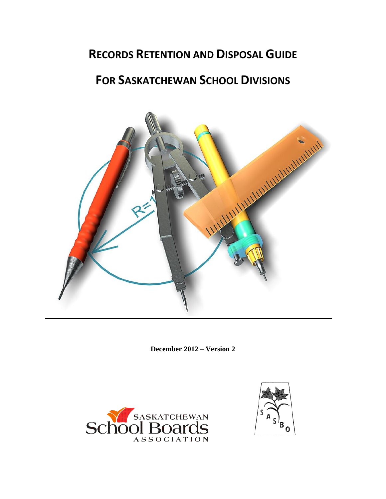# **RECORDS RETENTION AND DISPOSAL GUIDE**

# **FOR SASKATCHEWAN SCHOOL DIVISIONS**



**December 2012 – Version 2**



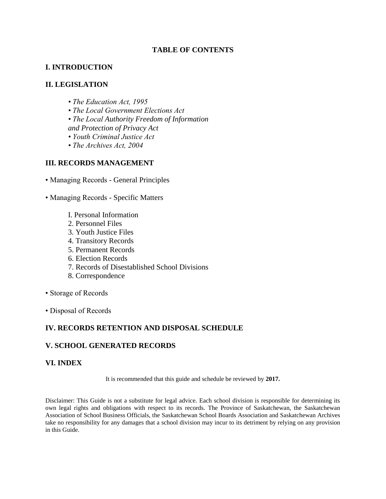# **TABLE OF CONTENTS**

### **I. INTRODUCTION**

#### **II. LEGISLATION**

- *The Education Act, 1995*
- *The Local Government Elections Act*
- *The Local Authority Freedom of Information and Protection of Privacy Act*
- *Youth Criminal Justice Act*
- *The Archives Act, 2004*

# **III. RECORDS MANAGEMENT**

- Managing Records General Principles
- Managing Records Specific Matters
	- I. Personal Information
	- 2. Personnel Files
	- 3. Youth Justice Files
	- 4. Transitory Records
	- 5. Permanent Records
	- 6. Election Records
	- 7. Records of Disestablished School Divisions
	- 8. Correspondence
- Storage of Records
- Disposal of Records

#### **IV. RECORDS RETENTION AND DISPOSAL SCHEDULE**

#### **V. SCHOOL GENERATED RECORDS**

#### **VI. INDEX**

It is recommended that this guide and schedule be reviewed by **2017.**

Disclaimer: This Guide is not a substitute for legal advice. Each school division is responsible for determining its own legal rights and obligations with respect to its records. The Province of Saskatchewan, the Saskatchewan Association of School Business Officials, the Saskatchewan School Boards Association and Saskatchewan Archives take no responsibility for any damages that a school division may incur to its detriment by relying on any provision in this Guide.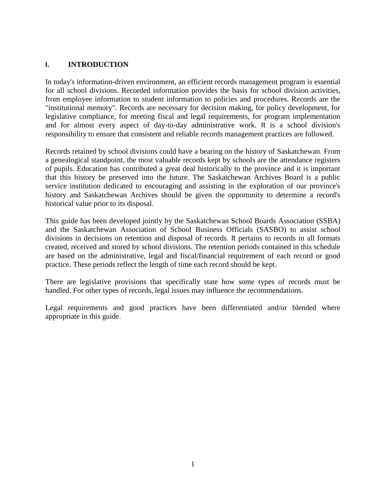# **I. INTRODUCTION**

In today's information-driven environment, an efficient records management program is essential for all school divisions. Recorded information provides the basis for school division activities, from employee information to student information to policies and procedures. Records are the "institutional memory". Records are necessary for decision making, for policy development, for legislative compliance, for meeting fiscal and legal requirements, for program implementation and for almost every aspect of day-to-day administrative work. It is a school division's responsibility to ensure that consistent and reliable records management practices are followed.

Records retained by school divisions could have a bearing on the history of Saskatchewan. From a genealogical standpoint, the most valuable records kept by schools are the attendance registers of pupils. Education has contributed a great deal historically to the province and it is important that this history be preserved into the future. The Saskatchewan Archives Board is a public service institution dedicated to encouraging and assisting in the exploration of our province's history and Saskatchewan Archives should be given the opportunity to determine a record's historical value prior to its disposal.

This guide has been developed jointly by the Saskatchewan School Boards Association (SSBA) and the Saskatchewan Association of School Business Officials (SASBO) to assist school divisions in decisions on retention and disposal of records. It pertains to records in all formats created, received and stored by school divisions. The retention periods contained in this schedule are based on the administrative, legal and fiscal/financial requirement of each record or good practice. These periods reflect the length of time each record should be kept.

There are legislative provisions that specifically state how some types of records must be handled. For other types of records, legal issues may influence the recommendations.

Legal requirements and good practices have been differentiated and/or blended where appropriate in this guide.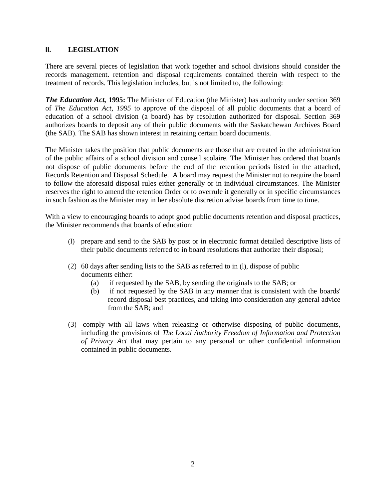#### **II. LEGISLATION**

There are several pieces of legislation that work together and school divisions should consider the records management. retention and disposal requirements contained therein with respect to the treatment of records. This legislation includes, but is not limited to, the following:

*The Education Act,* **1995:** The Minister of Education (the Minister) has authority under section 369 of *The Education Act, 1995* to approve of the disposal of all public documents that a board of education of a school division (a board) has by resolution authorized for disposal. Section 369 authorizes boards to deposit any of their public documents with the Saskatchewan Archives Board (the SAB). The SAB has shown interest in retaining certain board documents.

The Minister takes the position that public documents are those that are created in the administration of the public affairs of a school division and conseil scolaire. The Minister has ordered that boards not dispose of public documents before the end of the retention periods listed in the attached, Records Retention and Disposal Schedule. A board may request the Minister not to require the board to follow the aforesaid disposal rules either generally or in individual circumstances. The Minister reserves the right to amend the retention Order or to overrule it generally or in specific circumstances in such fashion as the Minister may in her absolute discretion advise boards from time to time.

With a view to encouraging boards to adopt good public documents retention and disposal practices, the Minister recommends that boards of education:

- (l) prepare and send to the SAB by post or in electronic format detailed descriptive lists of their public documents referred to in board resolutions that authorize their disposal;
- (2) 60 days after sending lists to the SAB as referred to in (l), dispose of public documents either:
	- (a) if requested by the SAB, by sending the originals to the SAB; or
	- (b) if not requested by the SAB in any manner that is consistent with the boards' record disposal best practices, and taking into consideration any general advice from the SAB; and
- (3) comply with all laws when releasing or otherwise disposing of public documents, including the provisions of *The Local Authority Freedom of Information and Protection of Privacy Act* that may pertain to any personal or other confidential information contained in public documents.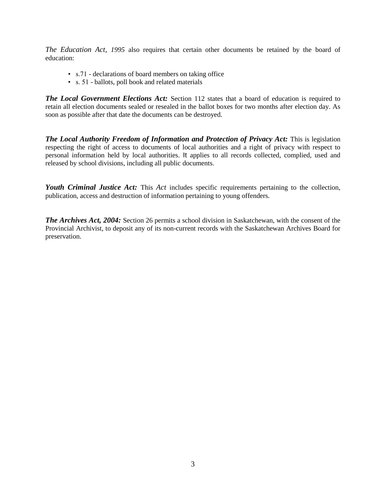*The Education Act, 1995* also requires that certain other documents be retained by the board of education:

- s.71 declarations of board members on taking office
- s. 51 ballots, poll book and related materials

*The Local Government Elections Act:* Section 112 states that a board of education is required to retain all election documents sealed or resealed in the ballot boxes for two months after election day. As soon as possible after that date the documents can be destroyed.

*The Local Authority Freedom of Information and Protection of Privacy Act:* This is legislation respecting the right of access to documents of local authorities and a right of privacy with respect to personal information held by local authorities. It applies to all records collected, complied, used and released by school divisions, including all public documents.

*Youth Criminal Justice Act:* This *Act* includes specific requirements pertaining to the collection, publication, access and destruction of information pertaining to young offenders.

*The Archives Act, 2004:* Section 26 permits a school division in Saskatchewan, with the consent of the Provincial Archivist, to deposit any of its non-current records with the Saskatchewan Archives Board for preservation.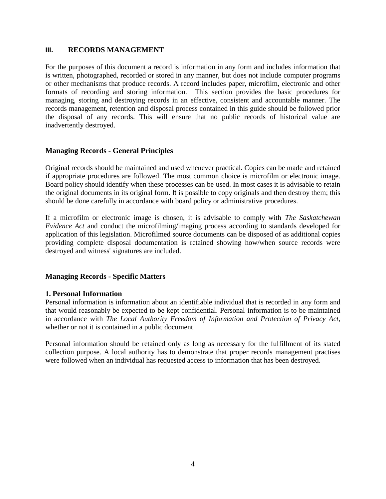#### **III. RECORDS MANAGEMENT**

For the purposes of this document a record is information in any form and includes information that is written, photographed, recorded or stored in any manner, but does not include computer programs or other mechanisms that produce records. A record includes paper, microfilm, electronic and other formats of recording and storing information. This section provides the basic procedures for managing, storing and destroying records in an effective, consistent and accountable manner. The records management, retention and disposal process contained in this guide should be followed prior the disposal of any records. This will ensure that no public records of historical value are inadvertently destroyed.

#### **Managing Records - General Principles**

Original records should be maintained and used whenever practical. Copies can be made and retained if appropriate procedures are followed. The most common choice is microfilm or electronic image. Board policy should identify when these processes can be used. In most cases it is advisable to retain the original documents in its original form. It is possible to copy originals and then destroy them; this should be done carefully in accordance with board policy or administrative procedures.

If a microfilm or electronic image is chosen, it is advisable to comply with *The Saskatchewan Evidence Act* and conduct the microfilming/imaging process according to standards developed for application of this legislation. Microfilmed source documents can be disposed of as additional copies providing complete disposal documentation is retained showing how/when source records were destroyed and witness' signatures are included.

#### **Managing Records - Specific Matters**

#### **1. Personal Information**

Personal information is information about an identifiable individual that is recorded in any form and that would reasonably be expected to be kept confidential. Personal information is to be maintained in accordance with *The Local Authority Freedom of Information and Protection of Privacy Act,*  whether or not it is contained in a public document.

Personal information should be retained only as long as necessary for the fulfillment of its stated collection purpose. A local authority has to demonstrate that proper records management practises were followed when an individual has requested access to information that has been destroyed.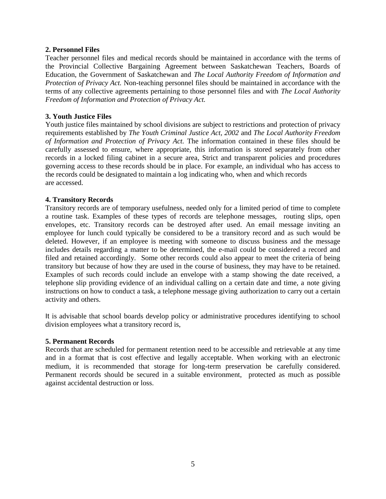#### **2. Personnel Files**

Teacher personnel files and medical records should be maintained in accordance with the terms of the Provincial Collective Bargaining Agreement between Saskatchewan Teachers, Boards of Education, the Government of Saskatchewan and *The Local Authority Freedom of Information and Protection of Privacy Act.* Non-teaching personnel files should be maintained in accordance with the terms of any collective agreements pertaining to those personnel files and with *The Local Authority Freedom of Information and Protection of Privacy Act.*

#### **3. Youth Justice Files**

Youth justice files maintained by school divisions are subject to restrictions and protection of privacy requirements established by *The Youth Criminal Justice Act, 2002* and *The Local Authority Freedom of Information and Protection of Privacy Act.* The information contained in these files should be carefully assessed to ensure, where appropriate, this information is stored separately from other records in a locked filing cabinet in a secure area, Strict and transparent policies and procedures governing access to these records should be in place. For example, an individual who has access to the records could be designated to maintain a log indicating who, when and which records are accessed.

#### **4. Transitory Records**

Transitory records are of temporary usefulness, needed only for a limited period of time to complete a routine task. Examples of these types of records are telephone messages, routing slips, open envelopes, etc. Transitory records can be destroyed after used. An email message inviting an employee for lunch could typically be considered to be a transitory record and as such would be deleted. However, if an employee is meeting with someone to discuss business and the message includes details regarding a matter to be determined, the e-mail could be considered a record and filed and retained accordingly. Some other records could also appear to meet the criteria of being transitory but because of how they are used in the course of business, they may have to be retained. Examples of such records could include an envelope with a stamp showing the date received, a telephone slip providing evidence of an individual calling on a certain date and time, a note giving instructions on how to conduct a task, a telephone message giving authorization to carry out a certain activity and others.

It is advisable that school boards develop policy or administrative procedures identifying to school division employees what a transitory record is,

#### **5. Permanent Records**

Records that are scheduled for permanent retention need to be accessible and retrievable at any time and in a format that is cost effective and legally acceptable. When working with an electronic medium, it is recommended that storage for long-term preservation be carefully considered. Permanent records should be secured in a suitable environment, protected as much as possible against accidental destruction or loss.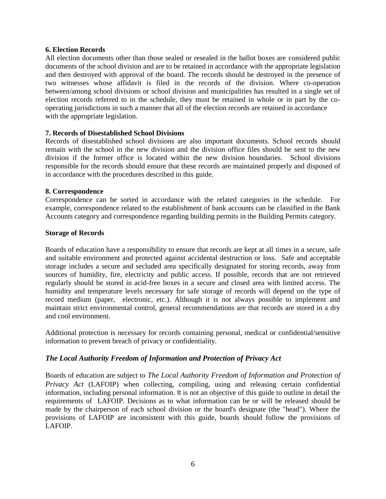#### **6. Election Records**

All election documents other than those sealed or resealed in the ballot boxes are considered public documents of the school division and are to be retained in accordance with the appropriate legislation and then destroyed with approval of the board. The records should be destroyed in the presence of two witnesses whose affidavit is filed in the records of the division. Where co-operation between/among school divisions or school division and municipalities has resulted in a single set of election records referred to in the schedule, they must be retained in whole or in part by the cooperating jurisdictions in such a manner that all of the election records are retained in accordance with the appropriate legislation.

#### **7. Records of Disestablished School Divisions**

Records of disestablished school divisions are also important documents. School records should remain with the school in the new division and the division office files should be sent to the new division if the former office is located within the new division boundaries. School divisions responsible for the records should ensure that these records are maintained properly and disposed of in accordance with the procedures described in this guide.

#### **8. Correspondence**

Correspondence can be sorted in accordance with the related categories in the schedule. For example, correspondence related to the establishment of bank accounts can be classified in the Bank Accounts category and correspondence regarding building permits in the Building Permits category.

#### **Storage of Records**

Boards of education have a responsibility to ensure that records are kept at all times in a secure, safe and suitable environment and protected against accidental destruction or loss. Safe and acceptable storage includes a secure and secluded area specifically designated for storing records, away from sources of humidity, fire, electricity and public access. If possible, records that are not retrieved regularly should be stored in acid-free boxes in a secure and closed area with limited access. The humidity and temperature levels necessary for safe storage of records will depend on the type of record medium (paper, electronic, etc.). Although it is not always possible to implement and maintain strict environmental control, general recommendations are that records are stored in a dry and cool environment.

Additional protection is necessary for records containing personal, medical or confidential/sensitive information to prevent breach of privacy or confidentiality.

#### *The Local Authority Freedom of Information and Protection of Privacy Act*

Boards of education are subject to *The Local Authority Freedom of Information and Protection of Privacy Act* (LAFOIP) when collecting, compiling, using and releasing certain confidential information, including personal information. It is not an objective of this guide to outline in detail the requirements of LAFOIP. Decisions as to what information can be or will be released should be made by the chairperson of each school division or the board's designate (the "head"). Where the provisions of LAFOIP are inconsistent with this guide, boards should follow the provisions of LAFOIP.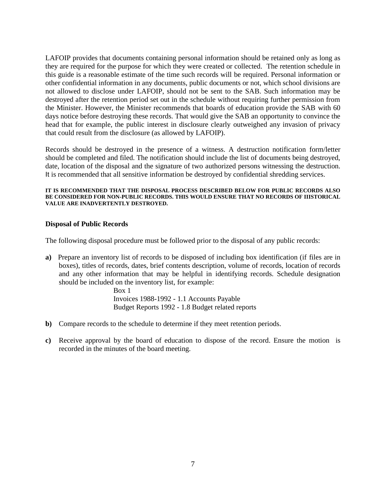LAFOIP provides that documents containing personal information should be retained only as long as they are required for the purpose for which they were created or collected. The retention schedule in this guide is a reasonable estimate of the time such records will be required. Personal information or other confidential information in any documents, public documents or not, which school divisions are not allowed to disclose under LAFOIP, should not be sent to the SAB. Such information may be destroyed after the retention period set out in the schedule without requiring further permission from the Minister. However, the Minister recommends that boards of education provide the SAB with 60 days notice before destroying these records. That would give the SAB an opportunity to convince the head that for example, the public interest in disclosure clearly outweighed any invasion of privacy that could result from the disclosure (as allowed by LAFOIP).

Records should be destroyed in the presence of a witness. A destruction notification form/letter should be completed and filed. The notification should include the list of documents being destroyed, date, location of the disposal and the signature of two authorized persons witnessing the destruction. It is recommended that all sensitive information be destroyed by confidential shredding services.

#### **IT IS RECOMMENDED THAT THE DISPOSAL PROCESS DESCRIBED BELOW FOR PUBLIC RECORDS ALSO BE CONSIDERED FOR NON-PUBLIC RECORDS. THIS WOULD ENSURE THAT NO RECORDS OF IIISTORICAL VALUE ARE INADVERTENTLY DESTROYED.**

#### **Disposal of Public Records**

The following disposal procedure must be followed prior to the disposal of any public records:

**a)** Prepare an inventory list of records to be disposed of including box identification (if files are in boxes), titles of records, dates, brief contents description, volume of records, location of records and any other information that may be helpful in identifying records. Schedule designation should be included on the inventory list, for example:

> Box 1 Invoices 1988-1992 - 1.1 Accounts Payable Budget Reports 1992 - 1.8 Budget related reports

- **b)** Compare records to the schedule to determine if they meet retention periods.
- **c)** Receive approval by the board of education to dispose of the record. Ensure the motion is recorded in the minutes of the board meeting.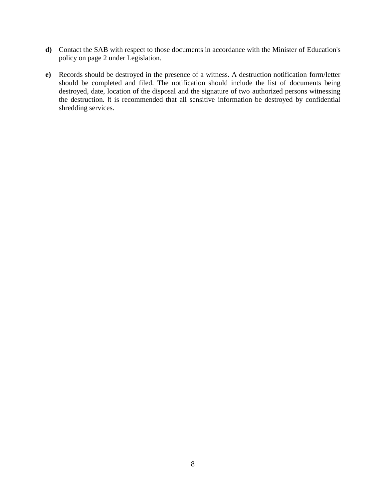- **d)** Contact the SAB with respect to those documents in accordance with the Minister of Education's policy on page 2 under Legislation.
- **e)** Records should be destroyed in the presence of a witness. A destruction notification form/letter should be completed and filed. The notification should include the list of documents being destroyed, date, location of the disposal and the signature of two authorized persons witnessing the destruction. It is recommended that all sensitive information be destroyed by confidential shredding services.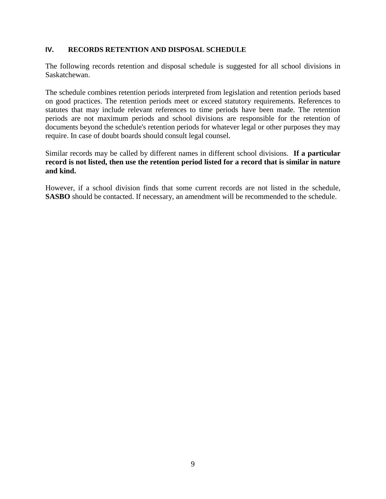#### **IV. RECORDS RETENTION AND DISPOSAL SCHEDULE**

The following records retention and disposal schedule is suggested for all school divisions in Saskatchewan.

The schedule combines retention periods interpreted from legislation and retention periods based on good practices. The retention periods meet or exceed statutory requirements. References to statutes that may include relevant references to time periods have been made. The retention periods are not maximum periods and school divisions are responsible for the retention of documents beyond the schedule's retention periods for whatever legal or other purposes they may require. In case of doubt boards should consult legal counsel.

Similar records may be called by different names in different school divisions. **If a particular record is not listed, then use the retention period listed for a record that is similar in nature and kind.**

However, if a school division finds that some current records are not listed in the schedule, **SASBO** should be contacted. If necessary, an amendment will be recommended to the schedule.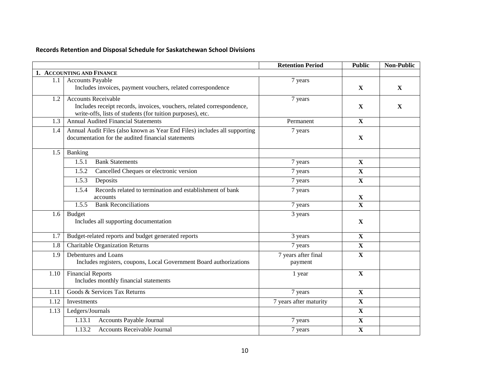| Records Retention and Disposal Schedule for Saskatchewan School Divisions |  |  |  |
|---------------------------------------------------------------------------|--|--|--|
|---------------------------------------------------------------------------|--|--|--|

|      |                                                                                                                                     | <b>Retention Period</b>        | <b>Public</b>           | <b>Non-Public</b> |
|------|-------------------------------------------------------------------------------------------------------------------------------------|--------------------------------|-------------------------|-------------------|
|      | 1. ACCOUNTING AND FINANCE                                                                                                           |                                |                         |                   |
| 1.1  | <b>Accounts Payable</b>                                                                                                             | 7 years                        |                         |                   |
|      | Includes invoices, payment vouchers, related correspondence                                                                         |                                | $\mathbf{X}$            | X                 |
| 1.2  | <b>Accounts Receivable</b>                                                                                                          | 7 years                        |                         |                   |
|      | Includes receipt records, invoices, vouchers, related correspondence,<br>write-offs, lists of students (for tuition purposes), etc. |                                | $\mathbf{X}$            | X                 |
| 1.3  | <b>Annual Audited Financial Statements</b>                                                                                          | Permanent                      | $\mathbf{X}$            |                   |
| 1.4  | Annual Audit Files (also known as Year End Files) includes all supporting<br>documentation for the audited financial statements     | 7 years                        | $\mathbf X$             |                   |
| 1.5  | Banking                                                                                                                             |                                |                         |                   |
|      | 1.5.1<br><b>Bank Statements</b>                                                                                                     | 7 years                        | $\overline{\mathbf{X}}$ |                   |
|      | Cancelled Cheques or electronic version<br>1.5.2                                                                                    | 7 years                        | $\mathbf X$             |                   |
|      | 1.5.3<br>Deposits                                                                                                                   | 7 years                        | $\mathbf X$             |                   |
|      | Records related to termination and establishment of bank<br>1.5.4<br>accounts                                                       | 7 years                        | X                       |                   |
|      | <b>Bank Reconciliations</b><br>1.5.5                                                                                                | 7 years                        | $\overline{\mathbf{X}}$ |                   |
| 1.6  | <b>Budget</b><br>Includes all supporting documentation                                                                              | 3 years                        | $\mathbf{X}$            |                   |
| 1.7  | Budget-related reports and budget generated reports                                                                                 | 3 years                        | $\mathbf X$             |                   |
| 1.8  | <b>Charitable Organization Returns</b>                                                                                              | 7 years                        | $\mathbf X$             |                   |
| 1.9  | Debentures and Loans<br>Includes registers, coupons, Local Government Board authorizations                                          | 7 years after final<br>payment | $\mathbf X$             |                   |
| 1.10 | <b>Financial Reports</b><br>Includes monthly financial statements                                                                   | 1 year                         | $\mathbf X$             |                   |
| 1.11 | Goods & Services Tax Returns                                                                                                        | 7 years                        | $\mathbf X$             |                   |
| 1.12 | Investments                                                                                                                         | 7 years after maturity         | $\overline{\mathbf{X}}$ |                   |
| 1.13 | Ledgers/Journals                                                                                                                    |                                | $\mathbf X$             |                   |
|      | Accounts Payable Journal<br>1.13.1                                                                                                  | 7 years                        | $\mathbf X$             |                   |
|      | 1.13.2<br>Accounts Receivable Journal                                                                                               | 7 years                        | $\mathbf X$             |                   |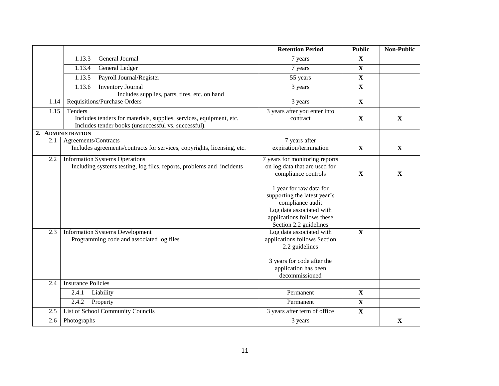|      |                                                                                                                                        | <b>Retention Period</b>                                                                                                                                                                                                                                   | <b>Public</b>           | <b>Non-Public</b> |
|------|----------------------------------------------------------------------------------------------------------------------------------------|-----------------------------------------------------------------------------------------------------------------------------------------------------------------------------------------------------------------------------------------------------------|-------------------------|-------------------|
|      | 1.13.3<br>General Journal                                                                                                              | 7 years                                                                                                                                                                                                                                                   | $\mathbf{X}$            |                   |
|      | 1.13.4<br>General Ledger                                                                                                               | 7 years                                                                                                                                                                                                                                                   | $\overline{\mathbf{X}}$ |                   |
|      | 1.13.5<br>Payroll Journal/Register                                                                                                     | 55 years                                                                                                                                                                                                                                                  | $\overline{\mathbf{X}}$ |                   |
|      | 1.13.6<br><b>Inventory Journal</b>                                                                                                     | 3 years                                                                                                                                                                                                                                                   | $\mathbf X$             |                   |
|      | Includes supplies, parts, tires, etc. on hand                                                                                          |                                                                                                                                                                                                                                                           |                         |                   |
| 1.14 | Requisitions/Purchase Orders                                                                                                           | 3 years                                                                                                                                                                                                                                                   | $\mathbf X$             |                   |
| 1.15 | Tenders<br>Includes tenders for materials, supplies, services, equipment, etc.<br>Includes tender books (unsuccessful vs. successful). | 3 years after you enter into<br>contract                                                                                                                                                                                                                  | $\mathbf X$             | X                 |
|      | 2. ADMINISTRATION                                                                                                                      |                                                                                                                                                                                                                                                           |                         |                   |
| 2.1  | Agreements/Contracts<br>Includes agreements/contracts for services, copyrights, licensing, etc.                                        | 7 years after<br>expiration/termination                                                                                                                                                                                                                   | $\mathbf{X}$            | $\mathbf X$       |
| 2.2  | <b>Information Systems Operations</b><br>Including systems testing, log files, reports, problems and incidents                         | 7 years for monitoring reports<br>on log data that are used for<br>compliance controls<br>1 year for raw data for<br>supporting the latest year's<br>compliance audit<br>Log data associated with<br>applications follows these<br>Section 2.2 guidelines | $\mathbf X$             | $\mathbf X$       |
| 2.3  | <b>Information Systems Development</b><br>Programming code and associated log files                                                    | Log data associated with<br>applications follows Section<br>2.2 guidelines<br>3 years for code after the<br>application has been<br>decommissioned                                                                                                        | $\mathbf{X}$            |                   |
| 2.4  | <b>Insurance Policies</b>                                                                                                              |                                                                                                                                                                                                                                                           |                         |                   |
|      | Liability<br>2.4.1                                                                                                                     | Permanent                                                                                                                                                                                                                                                 | $\mathbf X$             |                   |
|      | 2.4.2<br>Property                                                                                                                      | Permanent                                                                                                                                                                                                                                                 | $\mathbf X$             |                   |
| 2.5  | List of School Community Councils                                                                                                      | 3 years after term of office                                                                                                                                                                                                                              | $\mathbf X$             |                   |
| 2.6  | Photographs                                                                                                                            | 3 years                                                                                                                                                                                                                                                   |                         | $\mathbf X$       |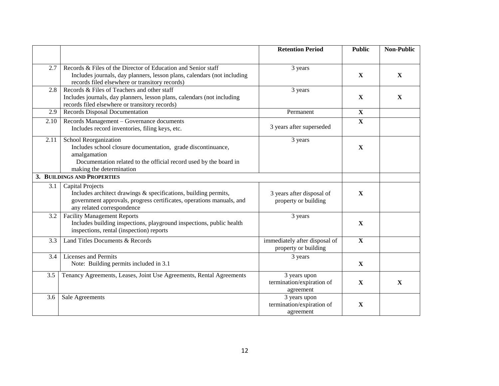|      |                                                                                                                                                                                                               | <b>Retention Period</b>                                | <b>Public</b> | <b>Non-Public</b> |
|------|---------------------------------------------------------------------------------------------------------------------------------------------------------------------------------------------------------------|--------------------------------------------------------|---------------|-------------------|
| 2.7  | Records & Files of the Director of Education and Senior staff<br>Includes journals, day planners, lesson plans, calendars (not including<br>records filed elsewhere or transitory records)                    | 3 years                                                | $\mathbf{X}$  | $\mathbf{X}$      |
| 2.8  | Records & Files of Teachers and other staff<br>Includes journals, day planners, lesson plans, calendars (not including<br>records filed elsewhere or transitory records)                                      | 3 years                                                | $\mathbf{X}$  | $\mathbf{X}$      |
| 2.9  | Records Disposal Documentation                                                                                                                                                                                | Permanent                                              | $\mathbf{X}$  |                   |
| 2.10 | Records Management - Governance documents<br>Includes record inventories, filing keys, etc.                                                                                                                   | 3 years after superseded                               | $\mathbf X$   |                   |
| 2.11 | <b>School Reorganization</b><br>Includes school closure documentation, grade discontinuance,<br>amalgamation<br>Documentation related to the official record used by the board in<br>making the determination | 3 years                                                | $\mathbf X$   |                   |
|      | 3. BUILDINGS AND PROPERTIES                                                                                                                                                                                   |                                                        |               |                   |
| 3.1  | <b>Capital Projects</b><br>Includes architect drawings & specifications, building permits,<br>government approvals, progress certificates, operations manuals, and<br>any related correspondence              | 3 years after disposal of<br>property or building      | $\mathbf X$   |                   |
| 3.2  | <b>Facility Management Reports</b><br>Includes building inspections, playground inspections, public health<br>inspections, rental (inspection) reports                                                        | 3 years                                                | $\mathbf X$   |                   |
| 3.3  | Land Titles Documents & Records                                                                                                                                                                               | immediately after disposal of<br>property or building  | $\mathbf{X}$  |                   |
| 3.4  | Licenses and Permits<br>Note: Building permits included in 3.1                                                                                                                                                | 3 years                                                | $\mathbf X$   |                   |
| 3.5  | Tenancy Agreements, Leases, Joint Use Agreements, Rental Agreements                                                                                                                                           | 3 years upon<br>termination/expiration of<br>agreement | $\mathbf{X}$  | $\mathbf{X}$      |
| 3.6  | Sale Agreements                                                                                                                                                                                               | 3 years upon<br>termination/expiration of<br>agreement | $\mathbf X$   |                   |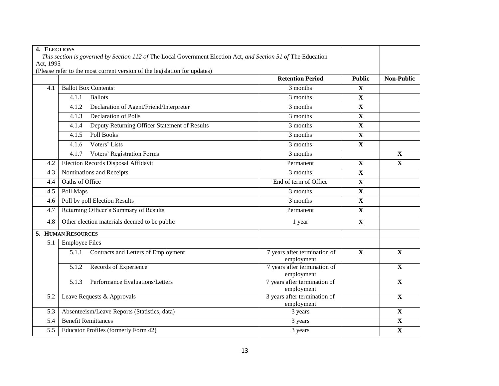| 4. ELECTIONS |                                                                                                               |                                            |               |                         |
|--------------|---------------------------------------------------------------------------------------------------------------|--------------------------------------------|---------------|-------------------------|
|              | This section is governed by Section 112 of The Local Government Election Act, and Section 51 of The Education |                                            |               |                         |
| Act, 1995    |                                                                                                               |                                            |               |                         |
|              | (Please refer to the most current version of the legislation for updates)                                     |                                            |               |                         |
|              |                                                                                                               | <b>Retention Period</b>                    | <b>Public</b> | <b>Non-Public</b>       |
| 4.1          | <b>Ballot Box Contents:</b>                                                                                   | 3 months                                   | $\mathbf{X}$  |                         |
|              | 4.1.1<br><b>Ballots</b>                                                                                       | 3 months                                   | $\mathbf X$   |                         |
|              | Declaration of Agent/Friend/Interpreter<br>4.1.2                                                              | 3 months                                   | $\mathbf X$   |                         |
|              | <b>Declaration of Polls</b><br>4.1.3                                                                          | 3 months                                   | $\mathbf X$   |                         |
|              | Deputy Returning Officer Statement of Results<br>4.1.4                                                        | 3 months                                   | $\mathbf X$   |                         |
|              | Poll Books<br>4.1.5                                                                                           | 3 months                                   | X             |                         |
|              | Voters' Lists<br>4.1.6                                                                                        | 3 months                                   | $\mathbf X$   |                         |
|              | Voters' Registration Forms<br>4.1.7                                                                           | 3 months                                   |               | $\mathbf X$             |
| 4.2          | Election Records Disposal Affidavit                                                                           | Permanent                                  | X             | $\mathbf{X}$            |
| 4.3          | Nominations and Receipts                                                                                      | $3$ months                                 | $\mathbf X$   |                         |
| 4.4          | <b>Oaths of Office</b>                                                                                        | End of term of Office                      | $\mathbf X$   |                         |
| 4.5          | Poll Maps                                                                                                     | 3 months                                   | $\mathbf X$   |                         |
| 4.6          | Poll by poll Election Results                                                                                 | 3 months                                   | $\mathbf X$   |                         |
| 4.7          | Returning Officer's Summary of Results                                                                        | Permanent                                  | $\mathbf X$   |                         |
| 4.8          | Other election materials deemed to be public                                                                  | 1 year                                     | $\mathbf X$   |                         |
|              | <b>5. HUMAN RESOURCES</b>                                                                                     |                                            |               |                         |
| 5.1          | <b>Employee Files</b>                                                                                         |                                            |               |                         |
|              | Contracts and Letters of Employment<br>5.1.1                                                                  | 7 years after termination of<br>employment | $\mathbf{X}$  | $\mathbf X$             |
|              | Records of Experience<br>5.1.2                                                                                | 7 years after termination of<br>employment |               | X                       |
|              | <b>Performance Evaluations/Letters</b><br>5.1.3                                                               | 7 years after termination of<br>employment |               | $\overline{\mathbf{X}}$ |
| 5.2          | Leave Requests & Approvals                                                                                    | 3 years after termination of<br>employment |               | $\mathbf X$             |
| 5.3          | Absenteeism/Leave Reports (Statistics, data)                                                                  | 3 years                                    |               | $\overline{\mathbf{X}}$ |
| 5.4          | <b>Benefit Remittances</b>                                                                                    | 3 years                                    |               | X                       |
| 5.5          | Educator Profiles (formerly Form 42)                                                                          | 3 years                                    |               | $\mathbf X$             |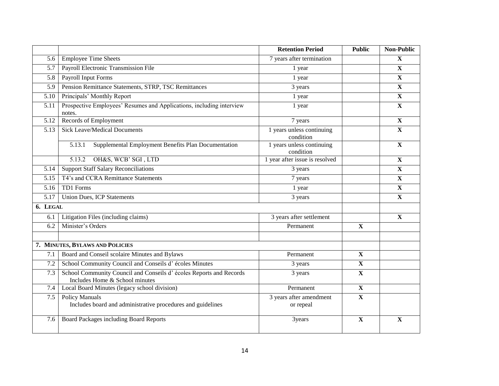|                   |                                                                                                      | <b>Retention Period</b>                | <b>Public</b>           | <b>Non-Public</b> |
|-------------------|------------------------------------------------------------------------------------------------------|----------------------------------------|-------------------------|-------------------|
| 5.6               | <b>Employee Time Sheets</b>                                                                          | 7 years after termination              |                         | $\mathbf{X}$      |
| 5.7               | Payroll Electronic Transmission File                                                                 | 1 year                                 |                         | $\mathbf X$       |
| 5.8               | <b>Payroll Input Forms</b>                                                                           | 1 year                                 |                         | $\mathbf X$       |
| 5.9               | Pension Remittance Statements, STRP, TSC Remittances                                                 | 3 years                                |                         | $\mathbf{X}$      |
| 5.10              | Principals' Monthly Report                                                                           | 1 year                                 |                         | $\mathbf X$       |
| 5.11              | Prospective Employees' Resumes and Applications, including interview<br>notes.                       | 1 year                                 |                         | $\mathbf X$       |
| 5.12              | Records of Employment                                                                                | 7 years                                |                         | $\mathbf X$       |
| 5.13              | <b>Sick Leave/Medical Documents</b>                                                                  | 1 years unless continuing<br>condition |                         | $\mathbf X$       |
|                   | Supplemental Employment Benefits Plan Documentation<br>5.13.1                                        | 1 years unless continuing<br>condition |                         | $\mathbf X$       |
|                   | OH&S, WCB' SGI, LTD<br>5.13.2                                                                        | 1 year after issue is resolved         |                         | $\mathbf X$       |
| 5.14              | <b>Support Staff Salary Reconciliations</b>                                                          | 3 years                                |                         | $\mathbf X$       |
| 5.15              | T4's and CCRA Remittance Statements                                                                  | 7 years                                |                         | $\mathbf X$       |
| 5.16              | TD1 Forms                                                                                            | 1 year                                 |                         | $\mathbf X$       |
| $\overline{5.17}$ | <b>Union Dues, ICP Statements</b>                                                                    | 3 years                                |                         | $\mathbf X$       |
| 6. LEGAL          |                                                                                                      |                                        |                         |                   |
| 6.1               | Litigation Files (including claims)                                                                  | 3 years after settlement               |                         | $\mathbf X$       |
| 6.2               | Minister's Orders                                                                                    | Permanent                              | $\mathbf{X}$            |                   |
|                   |                                                                                                      |                                        |                         |                   |
|                   | 7. MINUTES, BYLAWS AND POLICIES                                                                      |                                        |                         |                   |
| 7.1               | Board and Conseil scolaire Minutes and Bylaws                                                        | Permanent                              | $\mathbf X$             |                   |
| 7.2               | School Community Council and Conseils d'écoles Minutes                                               | 3 years                                | $\overline{\mathbf{X}}$ |                   |
| 7.3               | School Community Council and Conseils d'écoles Reports and Records<br>Includes Home & School minutes | 3 years                                | $\mathbf X$             |                   |
| 7.4               | Local Board Minutes (legacy school division)                                                         | Permanent                              | $\overline{\mathbf{X}}$ |                   |
| 7.5               | <b>Policy Manuals</b><br>Includes board and administrative procedures and guidelines                 | 3 years after amendment<br>or repeal   | $\mathbf X$             |                   |
| 7.6               | Board Packages including Board Reports                                                               | 3years                                 | $\mathbf X$             | $\mathbf X$       |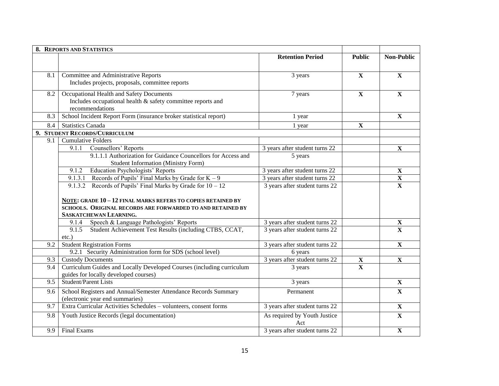|     | <b>8. REPORTS AND STATISTICS</b>                                      |                                |                         |                           |
|-----|-----------------------------------------------------------------------|--------------------------------|-------------------------|---------------------------|
|     |                                                                       | <b>Retention Period</b>        | <b>Public</b>           | <b>Non-Public</b>         |
|     |                                                                       |                                |                         |                           |
| 8.1 | Committee and Administrative Reports                                  | 3 years                        | $\mathbf{X}$            | $\mathbf{X}$              |
|     | Includes projects, proposals, committee reports                       |                                |                         |                           |
| 8.2 | Occupational Health and Safety Documents                              | 7 years                        | $\mathbf X$             | $\mathbf X$               |
|     | Includes occupational health & safety committee reports and           |                                |                         |                           |
|     | recommendations                                                       |                                |                         |                           |
| 8.3 | School Incident Report Form (insurance broker statistical report)     | 1 year                         |                         | $\mathbf{X}$              |
| 8.4 | <b>Statistics Canada</b>                                              | 1 year                         | $\mathbf X$             |                           |
|     | 9. STUDENT RECORDS/CURRICULUM                                         |                                |                         |                           |
| 9.1 | <b>Cumulative Folders</b>                                             |                                |                         |                           |
|     | Counsellors' Reports<br>9.1.1                                         | 3 years after student turns 22 |                         | $\mathbf X$               |
|     | 9.1.1.1 Authorization for Guidance Councellors for Access and         | 5 years                        |                         |                           |
|     | <b>Student Information (Ministry Form)</b>                            |                                |                         |                           |
|     | <b>Education Psychologists' Reports</b><br>9.1.2                      | 3 years after student turns 22 |                         | $\mathbf X$               |
|     | 9.1.3.1 Records of Pupils' Final Marks by Grade for $K - 9$           | 3 years after student turns 22 |                         | $\boldsymbol{\mathrm{X}}$ |
|     | 9.1.3.2 Records of Pupils' Final Marks by Grade for $10 - 12$         | 3 years after student turns 22 |                         | $\overline{\mathbf{X}}$   |
|     |                                                                       |                                |                         |                           |
|     | NOTE: GRADE 10-12 FINAL MARKS REFERS TO COPIES RETAINED BY            |                                |                         |                           |
|     | SCHOOLS. ORIGINAL RECORDS ARE FORWARDED TO AND RETAINED BY            |                                |                         |                           |
|     | SASKATCHEWAN LEARNING.                                                |                                |                         |                           |
|     | Speech & Language Pathologists' Reports<br>9.1.4                      | 3 years after student turns 22 |                         | $\mathbf X$               |
|     | Student Achievement Test Results (including CTBS, CCAT,<br>9.1.5      | 3 years after student turns 22 |                         | $\overline{\mathbf{X}}$   |
|     | $etc.$ )                                                              |                                |                         |                           |
| 9.2 | <b>Student Registration Forms</b>                                     | 3 years after student turns 22 |                         | $\mathbf X$               |
|     | 9.2.1 Security Administration form for SDS (school level)             | 6 years                        |                         |                           |
| 9.3 | <b>Custody Documents</b>                                              | 3 years after student turns 22 | $\mathbf X$             | $\mathbf{X}$              |
| 9.4 | Curriculum Guides and Locally Developed Courses (including curriculum | 3 years                        | $\overline{\mathbf{X}}$ |                           |
|     | guides for locally developed courses)                                 |                                |                         |                           |
| 9.5 | Student/Parent Lists                                                  | 3 years                        |                         | X                         |
| 9.6 | School Registers and Annual/Semester Attendance Records Summary       | Permanent                      |                         | $\mathbf{X}$              |
|     | (electronic year end summaries)                                       |                                |                         |                           |
| 9.7 | Extra Curricular Activities Schedules - volunteers, consent forms     | 3 years after student turns 22 |                         | $\mathbf X$               |
| 9.8 | Youth Justice Records (legal documentation)                           | As required by Youth Justice   |                         | $\overline{\mathbf{X}}$   |
|     |                                                                       | Act                            |                         |                           |
| 9.9 | Final Exams                                                           | 3 years after student turns 22 |                         | $\mathbf X$               |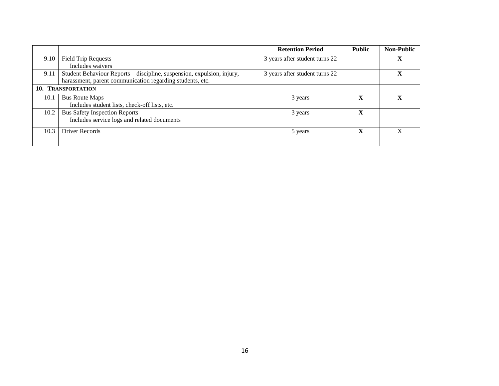|      |                                                                        | <b>Retention Period</b>        | <b>Public</b> | <b>Non-Public</b> |
|------|------------------------------------------------------------------------|--------------------------------|---------------|-------------------|
| 9.10 | <b>Field Trip Requests</b>                                             | 3 years after student turns 22 |               | л                 |
|      | Includes waivers                                                       |                                |               |                   |
| 9.11 | Student Behaviour Reports - discipline, suspension, expulsion, injury, | 3 years after student turns 22 |               |                   |
|      | harassment, parent communication regarding students, etc.              |                                |               |                   |
|      | 10. TRANSPORTATION                                                     |                                |               |                   |
| 10.1 | <b>Bus Route Maps</b>                                                  | 3 years                        | X             |                   |
|      | Includes student lists, check-off lists, etc.                          |                                |               |                   |
| 10.2 | <b>Bus Safety Inspection Reports</b>                                   | 3 years                        | X             |                   |
|      | Includes service logs and related documents                            |                                |               |                   |
| 10.3 | Driver Records                                                         | 5 years                        | X             |                   |
|      |                                                                        |                                |               |                   |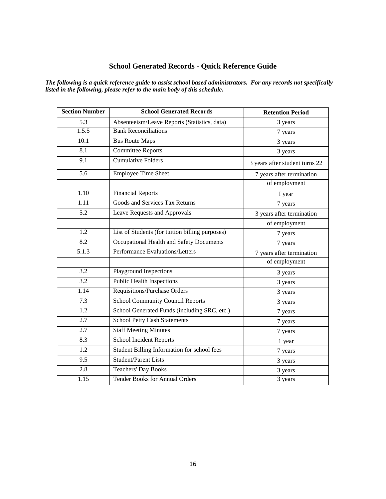# **School Generated Records - Quick Reference Guide**

*The following is a quick reference guide to assist school based administrators. For any records not specifically listed in the following, please refer to the main body of this schedule.*

| <b>Section Number</b> | <b>School Generated Records</b>                 | <b>Retention Period</b>        |
|-----------------------|-------------------------------------------------|--------------------------------|
| 5.3                   | Absenteeism/Leave Reports (Statistics, data)    | 3 years                        |
| 1.5.5                 | <b>Bank Reconciliations</b>                     | 7 years                        |
| $\overline{10.1}$     | <b>Bus Route Maps</b>                           | 3 years                        |
| 8.1                   | <b>Committee Reports</b>                        | 3 years                        |
| $\overline{9.1}$      | <b>Cumulative Folders</b>                       | 3 years after student turns 22 |
| $\overline{5.6}$      | <b>Employee Time Sheet</b>                      | 7 years after termination      |
|                       |                                                 | of employment                  |
| 1.10                  | <b>Financial Reports</b>                        | I year                         |
| 1.11                  | <b>Goods and Services Tax Returns</b>           | 7 years                        |
| 5.2                   | Leave Requests and Approvals                    | 3 years after termination      |
|                       |                                                 | of employment                  |
| $\overline{1.2}$      | List of Students (for tuition billing purposes) | 7 years                        |
| 8.2                   | Occupational Health and Safety Documents        | 7 years                        |
| 5.1.3                 | Performance Evaluations/Letters                 | 7 years after termination      |
|                       |                                                 | of employment                  |
| 3.2                   | Playground Inspections                          | 3 years                        |
| 3.2                   | <b>Public Health Inspections</b>                | 3 years                        |
| 1.14                  | Requisitions/Purchase Orders                    | 3 years                        |
| 7.3                   | <b>School Community Council Reports</b>         | 3 years                        |
| 1.2                   | School Generated Funds (including SRC, etc.)    | 7 years                        |
| $\overline{2.7}$      | <b>School Petty Cash Statements</b>             | 7 years                        |
| 2.7                   | <b>Staff Meeting Minutes</b>                    | 7 years                        |
| 8.3                   | School Incident Reports                         | 1 year                         |
| 1.2                   | Student Billing Information for school fees     | 7 years                        |
| 9.5                   | <b>Student/Parent Lists</b>                     | 3 years                        |
| 2.8                   | <b>Teachers' Day Books</b>                      | 3 years                        |
| 1.15                  | <b>Tender Books for Annual Orders</b>           | 3 years                        |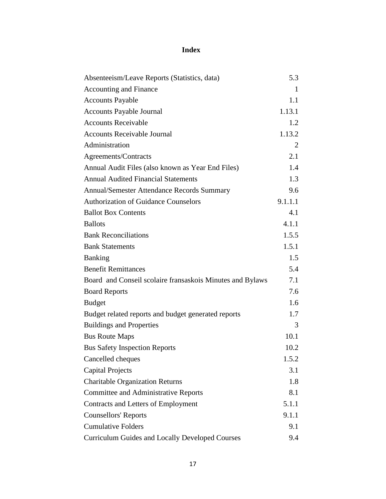# **Index**

| Absenteeism/Leave Reports (Statistics, data)              | 5.3     |
|-----------------------------------------------------------|---------|
| <b>Accounting and Finance</b>                             | 1       |
| <b>Accounts Payable</b>                                   | 1.1     |
| <b>Accounts Payable Journal</b>                           | 1.13.1  |
| <b>Accounts Receivable</b>                                | 1.2     |
| <b>Accounts Receivable Journal</b>                        | 1.13.2  |
| Administration                                            | 2       |
| Agreements/Contracts                                      | 2.1     |
| Annual Audit Files (also known as Year End Files)         | 1.4     |
| <b>Annual Audited Financial Statements</b>                | 1.3     |
| <b>Annual/Semester Attendance Records Summary</b>         | 9.6     |
| <b>Authorization of Guidance Counselors</b>               | 9.1.1.1 |
| <b>Ballot Box Contents</b>                                | 4.1     |
| <b>Ballots</b>                                            | 4.1.1   |
| <b>Bank Reconciliations</b>                               | 1.5.5   |
| <b>Bank Statements</b>                                    | 1.5.1   |
| <b>Banking</b>                                            | 1.5     |
| <b>Benefit Remittances</b>                                | 5.4     |
| Board and Conseil scolaire fransaskois Minutes and Bylaws | 7.1     |
| <b>Board Reports</b>                                      | 7.6     |
| <b>Budget</b>                                             | 1.6     |
| Budget related reports and budget generated reports       | 1.7     |
| <b>Buildings and Properties</b>                           | 3       |
| <b>Bus Route Maps</b>                                     | 10.1    |
| <b>Bus Safety Inspection Reports</b>                      | 10.2    |
| Cancelled cheques                                         | 1.5.2   |
| <b>Capital Projects</b>                                   | 3.1     |
| <b>Charitable Organization Returns</b>                    | 1.8     |
| <b>Committee and Administrative Reports</b>               | 8.1     |
| <b>Contracts and Letters of Employment</b>                | 5.1.1   |
| <b>Counsellors' Reports</b>                               | 9.1.1   |
| <b>Cumulative Folders</b>                                 | 9.1     |
| <b>Curriculum Guides and Locally Developed Courses</b>    | 9.4     |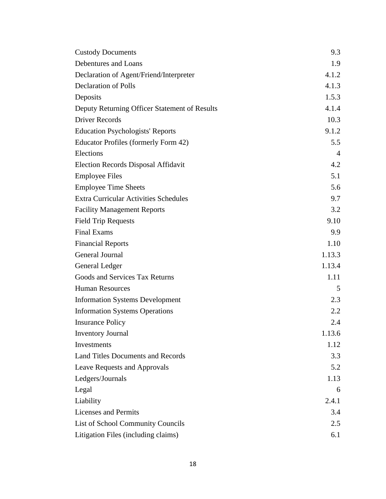| <b>Custody Documents</b>                      | 9.3            |
|-----------------------------------------------|----------------|
| Debentures and Loans                          | 1.9            |
| Declaration of Agent/Friend/Interpreter       | 4.1.2          |
| <b>Declaration of Polls</b>                   | 4.1.3          |
| Deposits                                      | 1.5.3          |
| Deputy Returning Officer Statement of Results | 4.1.4          |
| <b>Driver Records</b>                         | 10.3           |
| <b>Education Psychologists' Reports</b>       | 9.1.2          |
| Educator Profiles (formerly Form 42)          | 5.5            |
| Elections                                     | $\overline{4}$ |
| <b>Election Records Disposal Affidavit</b>    | 4.2            |
| <b>Employee Files</b>                         | 5.1            |
| <b>Employee Time Sheets</b>                   | 5.6            |
| <b>Extra Curricular Activities Schedules</b>  | 9.7            |
| <b>Facility Management Reports</b>            | 3.2            |
| <b>Field Trip Requests</b>                    | 9.10           |
| <b>Final Exams</b>                            | 9.9            |
| <b>Financial Reports</b>                      | 1.10           |
| <b>General Journal</b>                        | 1.13.3         |
| General Ledger                                | 1.13.4         |
| Goods and Services Tax Returns                | 1.11           |
| <b>Human Resources</b>                        | 5              |
| <b>Information Systems Development</b>        | 2.3            |
| <b>Information Systems Operations</b>         | 2.2            |
| <b>Insurance Policy</b>                       | 2.4            |
| <b>Inventory Journal</b>                      | 1.13.6         |
| Investments                                   | 1.12           |
| <b>Land Titles Documents and Records</b>      | 3.3            |
| Leave Requests and Approvals                  | 5.2            |
| Ledgers/Journals                              | 1.13           |
| Legal                                         | 6              |
| Liability                                     | 2.4.1          |
| <b>Licenses and Permits</b>                   | 3.4            |
| List of School Community Councils             | 2.5            |
| Litigation Files (including claims)           | 6.1            |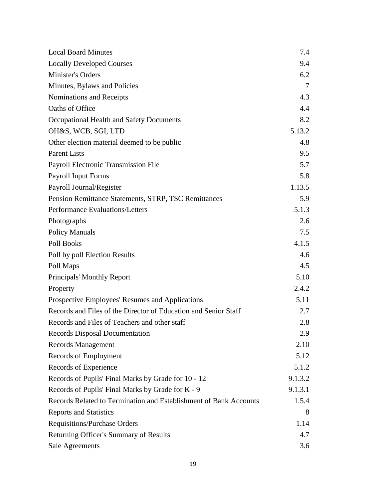| <b>Local Board Minutes</b>                                        | 7.4     |
|-------------------------------------------------------------------|---------|
| <b>Locally Developed Courses</b>                                  | 9.4     |
| Minister's Orders                                                 | 6.2     |
| Minutes, Bylaws and Policies                                      | $\tau$  |
| Nominations and Receipts                                          | 4.3     |
| Oaths of Office                                                   | 4.4     |
| Occupational Health and Safety Documents                          | 8.2     |
| OH&S, WCB, SGI, LTD                                               | 5.13.2  |
| Other election material deemed to be public                       | 4.8     |
| <b>Parent Lists</b>                                               | 9.5     |
| Payroll Electronic Transmission File                              | 5.7     |
| <b>Payroll Input Forms</b>                                        | 5.8     |
| Payroll Journal/Register                                          | 1.13.5  |
| Pension Remittance Statements, STRP, TSC Remittances              | 5.9     |
| Performance Evaluations/Letters                                   | 5.1.3   |
| Photographs                                                       | 2.6     |
| <b>Policy Manuals</b>                                             | 7.5     |
| Poll Books                                                        | 4.1.5   |
| Poll by poll Election Results                                     | 4.6     |
| Poll Maps                                                         | 4.5     |
| Principals' Monthly Report                                        | 5.10    |
| Property                                                          | 2.4.2   |
| Prospective Employees' Resumes and Applications                   | 5.11    |
| Records and Files of the Director of Education and Senior Staff   | 2.7     |
| Records and Files of Teachers and other staff                     | 2.8     |
| <b>Records Disposal Documentation</b>                             | 2.9     |
| Records Management                                                | 2.10    |
| Records of Employment                                             | 5.12    |
| Records of Experience                                             | 5.1.2   |
| Records of Pupils' Final Marks by Grade for 10 - 12               | 9.1.3.2 |
| Records of Pupils' Final Marks by Grade for K - 9                 | 9.1.3.1 |
| Records Related to Termination and Establishment of Bank Accounts | 1.5.4   |
| <b>Reports and Statistics</b>                                     | 8       |
| <b>Requisitions/Purchase Orders</b>                               | 1.14    |
| Returning Officer's Summary of Results                            | 4.7     |
| <b>Sale Agreements</b>                                            | 3.6     |